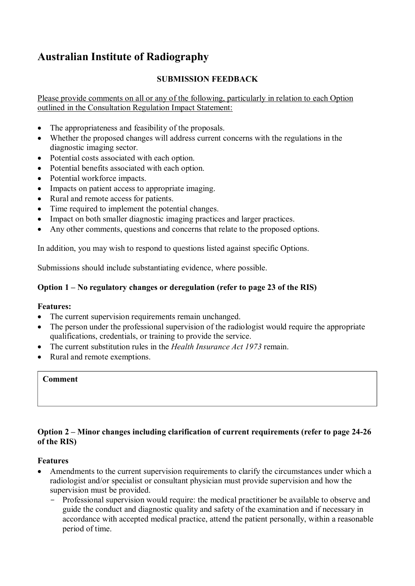# **Australian Institute of Radiography**

# **SUBMISSION FEEDBACK**

Please provide comments on all or any of the following, particularly in relation to each Option outlined in the Consultation Regulation Impact Statement:

- The appropriateness and feasibility of the proposals.
- Whether the proposed changes will address current concerns with the regulations in the diagnostic imaging sector.
- Potential costs associated with each option.
- Potential benefits associated with each option.
- Potential workforce impacts.
- Impacts on patient access to appropriate imaging.
- Rural and remote access for patients.
- Time required to implement the potential changes.
- Impact on both smaller diagnostic imaging practices and larger practices.
- Any other comments, questions and concerns that relate to the proposed options.

In addition, you may wish to respond to questions listed against specific Options.

Submissions should include substantiating evidence, where possible.

### **Option 1 – No regulatory changes or deregulation (refer to page 23 of the RIS)**

#### **Features:**

- The current supervision requirements remain unchanged.
- The person under the professional supervision of the radiologist would require the appropriate qualifications, credentials, or training to provide the service.
- The current substitution rules in the *Health Insurance Act 1973* remain.
- Rural and remote exemptions.

#### **Comment**

# **Option 2 – Minor changes including clarification of current requirements (refer to page 24-26 of the RIS)**

### **Features**

- Amendments to the current supervision requirements to clarify the circumstances under which a radiologist and/or specialist or consultant physician must provide supervision and how the supervision must be provided.
	- Professional supervision would require: the medical practitioner be available to observe and guide the conduct and diagnostic quality and safety of the examination and if necessary in accordance with accepted medical practice, attend the patient personally, within a reasonable period of time.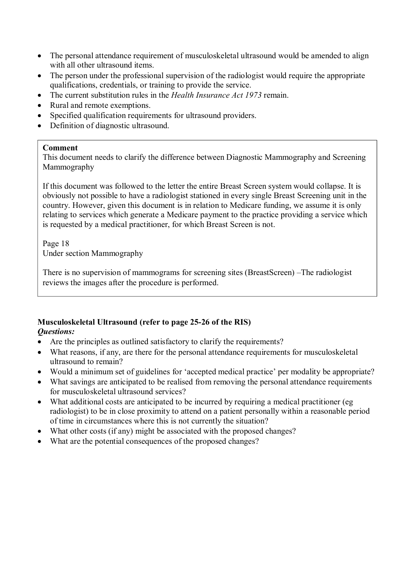- The personal attendance requirement of musculoskeletal ultrasound would be amended to align with all other ultrasound items.
- The person under the professional supervision of the radiologist would require the appropriate qualifications, credentials, or training to provide the service.
- The current substitution rules in the *Health Insurance Act 1973* remain.
- Rural and remote exemptions.
- Specified qualification requirements for ultrasound providers.
- Definition of diagnostic ultrasound.

#### **Comment**

This document needs to clarify the difference between Diagnostic Mammography and Screening Mammography

If this document was followed to the letter the entire Breast Screen system would collapse. It is obviously not possible to have a radiologist stationed in every single Breast Screening unit in the country. However, given this document is in relation to Medicare funding, we assume it is only relating to services which generate a Medicare payment to the practice providing a service which is requested by a medical practitioner, for which Breast Screen is not.

Page 18 Under section Mammography

There is no supervision of mammograms for screening sites (BreastScreen) –The radiologist reviews the images after the procedure is performed.

#### **Musculoskeletal Ultrasound (refer to page 25-26 of the RIS)**  *Questions:*

- Are the principles as outlined satisfactory to clarify the requirements?
- What reasons, if any, are there for the personal attendance requirements for musculoskeletal ultrasound to remain?
- Would a minimum set of guidelines for 'accepted medical practice' per modality be appropriate?
- What savings are anticipated to be realised from removing the personal attendance requirements for musculoskeletal ultrasound services?
- What additional costs are anticipated to be incurred by requiring a medical practitioner (eg radiologist) to be in close proximity to attend on a patient personally within a reasonable period of time in circumstances where this is not currently the situation?
- What other costs (if any) might be associated with the proposed changes?
- What are the potential consequences of the proposed changes?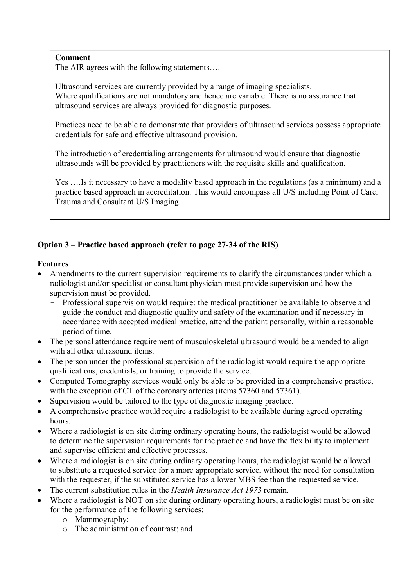# **Comment**

The AIR agrees with the following statements….

Ultrasound services are currently provided by a range of imaging specialists. Where qualifications are not mandatory and hence are variable. There is no assurance that ultrasound services are always provided for diagnostic purposes.

Practices need to be able to demonstrate that providers of ultrasound services possess appropriate credentials for safe and effective ultrasound provision.

The introduction of credentialing arrangements for ultrasound would ensure that diagnostic ultrasounds will be provided by practitioners with the requisite skills and qualification.

Yes ….Is it necessary to have a modality based approach in the regulations (as a minimum) and a practice based approach in accreditation. This would encompass all U/S including Point of Care, Trauma and Consultant U/S Imaging.

# **Option 3 – Practice based approach (refer to page 27-34 of the RIS)**

# **Features**

- Amendments to the current supervision requirements to clarify the circumstances under which a radiologist and/or specialist or consultant physician must provide supervision and how the supervision must be provided.
	- Professional supervision would require: the medical practitioner be available to observe and guide the conduct and diagnostic quality and safety of the examination and if necessary in accordance with accepted medical practice, attend the patient personally, within a reasonable period of time.
- The personal attendance requirement of musculoskeletal ultrasound would be amended to align with all other ultrasound items.
- The person under the professional supervision of the radiologist would require the appropriate qualifications, credentials, or training to provide the service.
- Computed Tomography services would only be able to be provided in a comprehensive practice, with the exception of CT of the coronary arteries (items 57360 and 57361).
- Supervision would be tailored to the type of diagnostic imaging practice.
- A comprehensive practice would require a radiologist to be available during agreed operating hours.
- Where a radiologist is on site during ordinary operating hours, the radiologist would be allowed to determine the supervision requirements for the practice and have the flexibility to implement and supervise efficient and effective processes.
- Where a radiologist is on site during ordinary operating hours, the radiologist would be allowed to substitute a requested service for a more appropriate service, without the need for consultation with the requester, if the substituted service has a lower MBS fee than the requested service.
- The current substitution rules in the *Health Insurance Act 1973* remain.
- Where a radiologist is NOT on site during ordinary operating hours, a radiologist must be on site for the performance of the following services:
	- o Mammography;
	- o The administration of contrast; and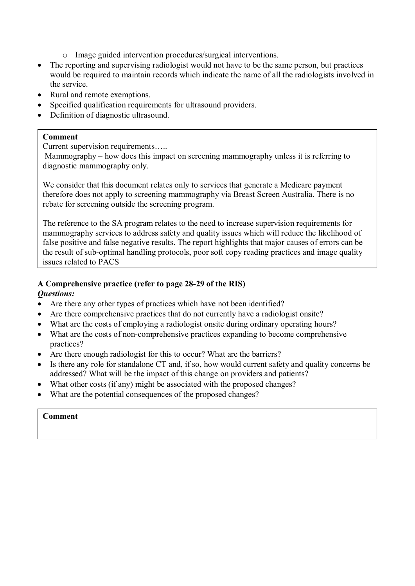- o Image guided intervention procedures/surgical interventions.
- The reporting and supervising radiologist would not have to be the same person, but practices would be required to maintain records which indicate the name of all the radiologists involved in the service.
- Rural and remote exemptions.
- Specified qualification requirements for ultrasound providers.
- Definition of diagnostic ultrasound.

#### **Comment**

Current supervision requirements…..

 Mammography – how does this impact on screening mammography unless it is referring to diagnostic mammography only.

We consider that this document relates only to services that generate a Medicare payment therefore does not apply to screening mammography via Breast Screen Australia. There is no rebate for screening outside the screening program.

The reference to the SA program relates to the need to increase supervision requirements for mammography services to address safety and quality issues which will reduce the likelihood of false positive and false negative results. The report highlights that major causes of errors can be the result of sub-optimal handling protocols, poor soft copy reading practices and image quality issues related to PACS

# **A Comprehensive practice (refer to page 28-29 of the RIS)**

### *Questions:*

- Are there any other types of practices which have not been identified?
- Are there comprehensive practices that do not currently have a radiologist onsite?
- What are the costs of employing a radiologist onsite during ordinary operating hours?
- What are the costs of non-comprehensive practices expanding to become comprehensive practices?
- Are there enough radiologist for this to occur? What are the barriers?
- Is there any role for standalone CT and, if so, how would current safety and quality concerns be addressed? What will be the impact of this change on providers and patients?
- What other costs (if any) might be associated with the proposed changes?
- What are the potential consequences of the proposed changes?

# **Comment**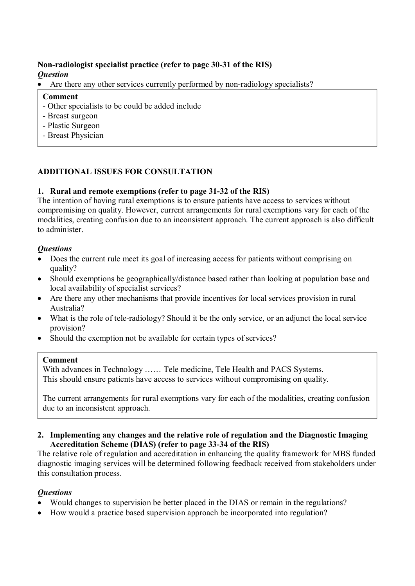## **Non-radiologist specialist practice (refer to page 30-31 of the RIS)**  *Question*

Are there any other services currently performed by non-radiology specialists?

#### **Comment**

- Other specialists to be could be added include
- Breast surgeon
- Plastic Surgeon
- Breast Physician

# **ADDITIONAL ISSUES FOR CONSULTATION**

# **1. Rural and remote exemptions (refer to page 31-32 of the RIS)**

The intention of having rural exemptions is to ensure patients have access to services without compromising on quality. However, current arrangements for rural exemptions vary for each of the modalities, creating confusion due to an inconsistent approach. The current approach is also difficult to administer.

# *Questions*

- Does the current rule meet its goal of increasing access for patients without comprising on quality?
- Should exemptions be geographically/distance based rather than looking at population base and local availability of specialist services?
- Are there any other mechanisms that provide incentives for local services provision in rural Australia?
- What is the role of tele-radiology? Should it be the only service, or an adjunct the local service provision?
- Should the exemption not be available for certain types of services?

### **Comment**

With advances in Technology …… Tele medicine, Tele Health and PACS Systems. This should ensure patients have access to services without compromising on quality.

The current arrangements for rural exemptions vary for each of the modalities, creating confusion due to an inconsistent approach.

#### **2. Implementing any changes and the relative role of regulation and the Diagnostic Imaging Accreditation Scheme (DIAS) (refer to page 33-34 of the RIS)**

The relative role of regulation and accreditation in enhancing the quality framework for MBS funded diagnostic imaging services will be determined following feedback received from stakeholders under this consultation process.

# *Questions*

- Would changes to supervision be better placed in the DIAS or remain in the regulations?
- How would a practice based supervision approach be incorporated into regulation?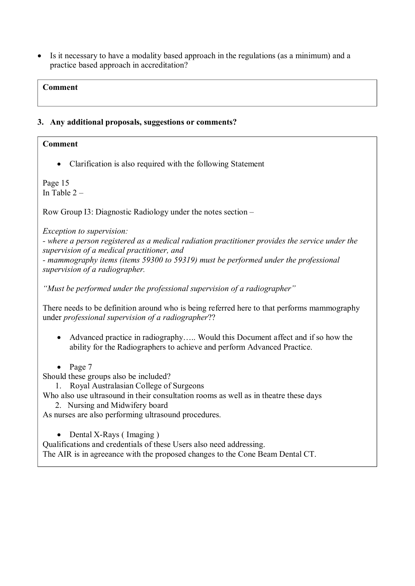Is it necessary to have a modality based approach in the regulations (as a minimum) and a practice based approach in accreditation?

### **Comment**

### **3. Any additional proposals, suggestions or comments?**

# **Comment**

• Clarification is also required with the following Statement

Page 15 In Table 2 –

Row Group I3: Diagnostic Radiology under the notes section –

*Exception to supervision:* 

*- where a person registered as a medical radiation practitioner provides the service under the supervision of a medical practitioner, and - mammography items (items 59300 to 59319) must be performed under the professional* 

*supervision of a radiographer.* 

*"Must be performed under the professional supervision of a radiographer"* 

There needs to be definition around who is being referred here to that performs mammography under *professional supervision of a radiographer*??

- Advanced practice in radiography….. Would this Document affect and if so how the ability for the Radiographers to achieve and perform Advanced Practice.
- $\bullet$  Page 7

Should these groups also be included?

1. Royal Australasian College of Surgeons

Who also use ultrasound in their consultation rooms as well as in theatre these days

2. Nursing and Midwifery board

As nurses are also performing ultrasound procedures.

• Dental X-Rays (Imaging)

Qualifications and credentials of these Users also need addressing.

The AIR is in agreeance with the proposed changes to the Cone Beam Dental CT.